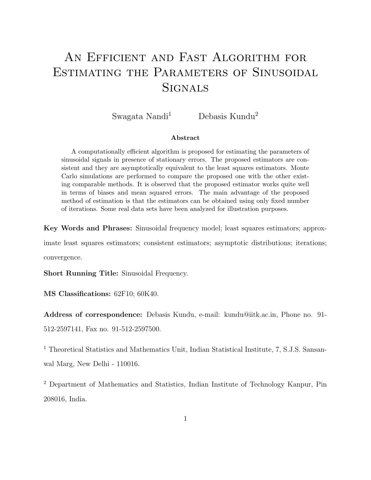# AN EFFICIENT AND FAST ALGORITHM FOR ESTIMATING THE PARAMETERS OF SINUSOIDAL **SIGNALS**

Swagata Nandi<sup>1</sup> Debasis Kundu<sup>2</sup>

#### Abstract

A computationally efficient algorithm is proposed for estimating the parameters of sinusoidal signals in presence of stationary errors. The proposed estimators are consistent and they are asymptotically equivalent to the least squares estimators. Monte Carlo simulations are performed to compare the proposed one with the other existing comparable methods. It is observed that the proposed estimator works quite well in terms of biases and mean squared errors. The main advantage of the proposed method of estimation is that the estimators can be obtained using only fixed number of iterations. Some real data sets have been analyzed for illustration purposes.

Key Words and Phrases: Sinusoidal frequency model; least squares estimators; approx-

imate least squares estimators; consistent estimators; asymptotic distributions; iterations; convergence.

Short Running Title: Sinusoidal Frequency.

MS Classifications: 62F10; 60K40.

Address of correspondence: Debasis Kundu, e-mail: kundu@iitk.ac.in, Phone no. 91- 512-2597141, Fax no. 91-512-2597500.

<sup>1</sup> Theoretical Statistics and Mathematics Unit, Indian Statistical Institute, 7, S.J.S. Sansanwal Marg, New Delhi - 110016.

<sup>2</sup> Department of Mathematics and Statistics, Indian Institute of Technology Kanpur, Pin 208016, India.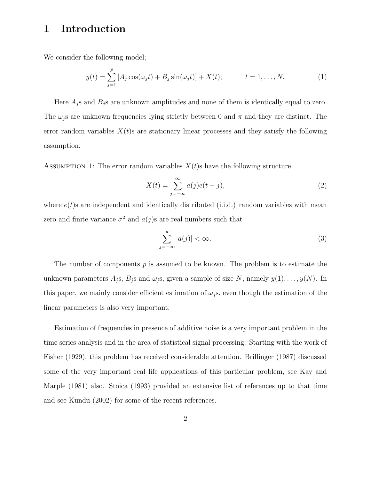### 1 Introduction

We consider the following model;

$$
y(t) = \sum_{j=1}^{p} [A_j \cos(\omega_j t) + B_j \sin(\omega_j t)] + X(t); \qquad t = 1, ..., N.
$$
 (1)

Here  $A_j$ s and  $B_j$ s are unknown amplitudes and none of them is identically equal to zero. The  $\omega_i$ s are unknown frequencies lying strictly between 0 and  $\pi$  and they are distinct. The error random variables  $X(t)$ s are stationary linear processes and they satisfy the following assumption.

ASSUMPTION 1: The error random variables  $X(t)$ s have the following structure.

$$
X(t) = \sum_{j=-\infty}^{\infty} a(j)e(t-j),
$$
\n(2)

where  $e(t)$ s are independent and identically distributed (i.i.d.) random variables with mean zero and finite variance  $\sigma^2$  and  $a(j)$ s are real numbers such that

$$
\sum_{j=-\infty}^{\infty} |a(j)| < \infty. \tag{3}
$$

The number of components  $p$  is assumed to be known. The problem is to estimate the unknown parameters  $A_j$ s,  $B_j$ s and  $\omega_j$ s, given a sample of size N, namely  $y(1), \ldots, y(N)$ . In this paper, we mainly consider efficient estimation of  $\omega_j$ s, even though the estimation of the linear parameters is also very important.

Estimation of frequencies in presence of additive noise is a very important problem in the time series analysis and in the area of statistical signal processing. Starting with the work of Fisher (1929), this problem has received considerable attention. Brillinger (1987) discussed some of the very important real life applications of this particular problem, see Kay and Marple (1981) also. Stoica (1993) provided an extensive list of references up to that time and see Kundu (2002) for some of the recent references.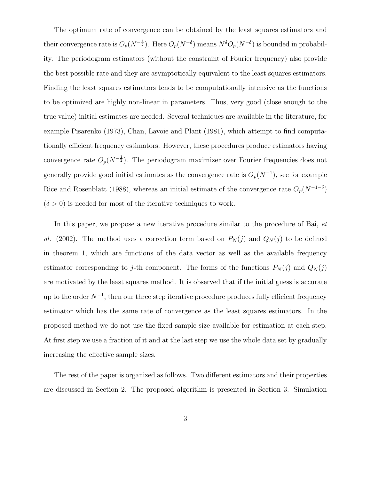The optimum rate of convergence can be obtained by the least squares estimators and their convergence rate is  $O_p(N^{-\frac{3}{2}})$ . Here  $O_p(N^{-\delta})$  means  $N^{\delta}O_p(N^{-\delta})$  is bounded in probability. The periodogram estimators (without the constraint of Fourier frequency) also provide the best possible rate and they are asymptotically equivalent to the least squares estimators. Finding the least squares estimators tends to be computationally intensive as the functions to be optimized are highly non-linear in parameters. Thus, very good (close enough to the true value) initial estimates are needed. Several techniques are available in the literature, for example Pisarenko (1973), Chan, Lavoie and Plant (1981), which attempt to find computationally efficient frequency estimators. However, these procedures produce estimators having convergence rate  $O_p(N^{-\frac{1}{2}})$ . The periodogram maximizer over Fourier frequencies does not generally provide good initial estimates as the convergence rate is  $O_p(N^{-1})$ , see for example Rice and Rosenblatt (1988), whereas an initial estimate of the convergence rate  $O_p(N^{-1-\delta})$  $(\delta > 0)$  is needed for most of the iterative techniques to work.

In this paper, we propose a new iterative procedure similar to the procedure of Bai, et al. (2002). The method uses a correction term based on  $P_N(j)$  and  $Q_N(j)$  to be defined in theorem 1, which are functions of the data vector as well as the available frequency estimator corresponding to j-th component. The forms of the functions  $P_N(j)$  and  $Q_N(j)$ are motivated by the least squares method. It is observed that if the initial guess is accurate up to the order  $N^{-1}$ , then our three step iterative procedure produces fully efficient frequency estimator which has the same rate of convergence as the least squares estimators. In the proposed method we do not use the fixed sample size available for estimation at each step. At first step we use a fraction of it and at the last step we use the whole data set by gradually increasing the effective sample sizes.

The rest of the paper is organized as follows. Two different estimators and their properties are discussed in Section 2. The proposed algorithm is presented in Section 3. Simulation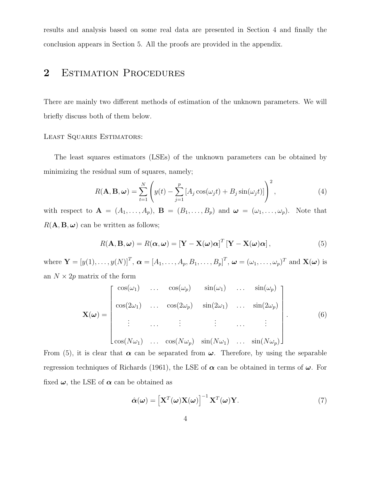results and analysis based on some real data are presented in Section 4 and finally the conclusion appears in Section 5. All the proofs are provided in the appendix.

### 2 ESTIMATION PROCEDURES

There are mainly two different methods of estimation of the unknown parameters. We will briefly discuss both of them below.

#### LEAST SQUARES ESTIMATORS:

The least squares estimators (LSEs) of the unknown parameters can be obtained by minimizing the residual sum of squares, namely;

$$
R(\mathbf{A}, \mathbf{B}, \boldsymbol{\omega}) = \sum_{t=1}^{N} \left( y(t) - \sum_{j=1}^{p} \left[ A_j \cos(\omega_j t) + B_j \sin(\omega_j t) \right] \right)^2, \tag{4}
$$

with respect to  $\mathbf{A} = (A_1, \ldots, A_p), \mathbf{B} = (B_1, \ldots, B_p)$  and  $\boldsymbol{\omega} = (\omega_1, \ldots, \omega_p).$  Note that  $R(\mathbf{A}, \mathbf{B}, \boldsymbol{\omega})$  can be written as follows;

$$
R(\mathbf{A}, \mathbf{B}, \boldsymbol{\omega}) = R(\boldsymbol{\alpha}, \boldsymbol{\omega}) = \left[\mathbf{Y} - \mathbf{X}(\boldsymbol{\omega})\boldsymbol{\alpha}\right]^T \left[\mathbf{Y} - \mathbf{X}(\boldsymbol{\omega})\boldsymbol{\alpha}\right],\tag{5}
$$

where  $\mathbf{Y} = [y(1), \dots, y(N)]^T$ ,  $\boldsymbol{\alpha} = [A_1, \dots, A_p, B_1, \dots, B_p]^T$ ,  $\boldsymbol{\omega} = (\omega_1, \dots, \omega_p)^T$  and  $\mathbf{X}(\boldsymbol{\omega})$  is an  $N \times 2p$  matrix of the form

$$
\mathbf{X}(\boldsymbol{\omega}) = \begin{bmatrix} \cos(\omega_1) & \dots & \cos(\omega_p) & \sin(\omega_1) & \dots & \sin(\omega_p) \\ \cos(2\omega_1) & \dots & \cos(2\omega_p) & \sin(2\omega_1) & \dots & \sin(2\omega_p) \\ \vdots & \dots & \vdots & \vdots & \dots & \vdots \\ \cos(N\omega_1) & \dots & \cos(N\omega_p) & \sin(N\omega_1) & \dots & \sin(N\omega_p) \end{bmatrix}
$$
(6)

From (5), it is clear that  $\alpha$  can be separated from  $\omega$ . Therefore, by using the separable regression techniques of Richards (1961), the LSE of  $\alpha$  can be obtained in terms of  $\omega$ . For fixed  $\omega$ , the LSE of  $\alpha$  can be obtained as

$$
\hat{\alpha}(\omega) = \left[\mathbf{X}^T(\omega)\mathbf{X}(\omega)\right]^{-1}\mathbf{X}^T(\omega)\mathbf{Y}.
$$
\n(7)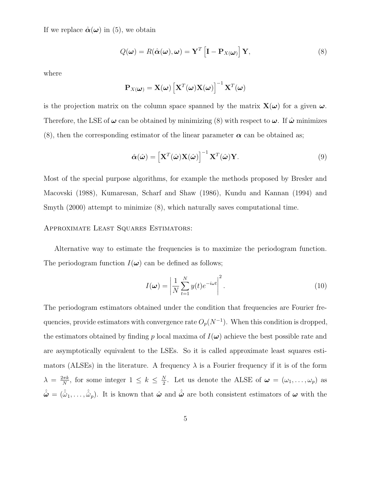If we replace  $\hat{\boldsymbol{\alpha}}(\boldsymbol{\omega})$  in (5), we obtain

$$
Q(\boldsymbol{\omega}) = R(\hat{\boldsymbol{\alpha}}(\boldsymbol{\omega}), \boldsymbol{\omega}) = \mathbf{Y}^T \left[ \mathbf{I} - \mathbf{P}_{X(\boldsymbol{\omega})} \right] \mathbf{Y},
$$
\n(8)

where

$$
\mathbf{P}_{X(\boldsymbol{\omega})} = \mathbf{X}(\boldsymbol{\omega}) \left[ \mathbf{X}^T(\boldsymbol{\omega}) \mathbf{X}(\boldsymbol{\omega}) \right]^{-1} \mathbf{X}^T(\boldsymbol{\omega})
$$

is the projection matrix on the column space spanned by the matrix  $\mathbf{X}(\omega)$  for a given  $\omega$ . Therefore, the LSE of  $\omega$  can be obtained by minimizing (8) with respect to  $\omega$ . If  $\hat{\omega}$  minimizes (8), then the corresponding estimator of the linear parameter  $\alpha$  can be obtained as;

$$
\hat{\alpha}(\hat{\omega}) = \left[\mathbf{X}^T(\hat{\omega})\mathbf{X}(\hat{\omega})\right]^{-1}\mathbf{X}^T(\hat{\omega})\mathbf{Y}.
$$
\n(9)

Most of the special purpose algorithms, for example the methods proposed by Bresler and Macovski (1988), Kumaresan, Scharf and Shaw (1986), Kundu and Kannan (1994) and Smyth (2000) attempt to minimize (8), which naturally saves computational time.

#### Approximate Least Squares Estimators:

Alternative way to estimate the frequencies is to maximize the periodogram function. The periodogram function  $I(\omega)$  can be defined as follows;

$$
I(\boldsymbol{\omega}) = \left| \frac{1}{N} \sum_{t=1}^{N} y(t) e^{-i\omega t} \right|^2.
$$
 (10)

The periodogram estimators obtained under the condition that frequencies are Fourier frequencies, provide estimators with convergence rate  $O_p(N^{-1})$ . When this condition is dropped, the estimators obtained by finding p local maxima of  $I(\boldsymbol{\omega})$  achieve the best possible rate and are asymptotically equivalent to the LSEs. So it is called approximate least squares estimators (ALSEs) in the literature. A frequency  $\lambda$  is a Fourier frequency if it is of the form  $\lambda = \frac{2\pi k}{N}$  $\frac{k\pi k}{N}$ , for some integer  $1 \leq k \leq \frac{N}{2}$  $\frac{N}{2}$ . Let us denote the ALSE of  $\boldsymbol{\omega} = (\omega_1, \ldots, \omega_p)$  as  $\hat{\hat{\omega}} = (\hat{\hat{\omega}}_1,\ldots,\hat{\hat{\omega}}_p)$ . It is known that  $\hat{\omega}$  and  $\hat{\hat{\omega}}$  are both consistent estimators of  $\omega$  with the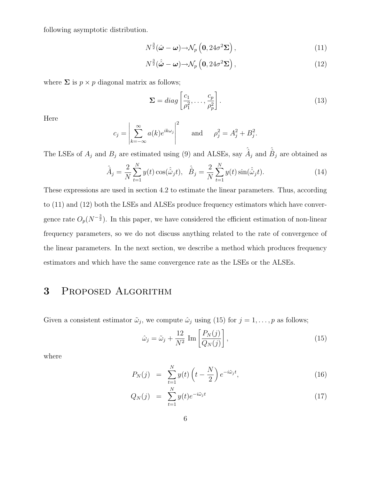following asymptotic distribution.

$$
N^{\frac{3}{2}}(\hat{\boldsymbol{\omega}} - \boldsymbol{\omega}) \rightarrow \mathcal{N}_p\left(\mathbf{0}, 24\sigma^2 \boldsymbol{\Sigma}\right),\tag{11}
$$

$$
N^{\frac{3}{2}}(\hat{\omega} - \omega) \rightarrow \mathcal{N}_p \left( 0, 24\sigma^2 \Sigma \right), \tag{12}
$$

where  $\Sigma$  is  $p \times p$  diagonal matrix as follows;

$$
\Sigma = diag\left[\frac{c_1}{\rho_1^2}, \dots, \frac{c_p}{\rho_p^2}\right].
$$
\n(13)

Here

$$
c_j = \left| \sum_{k=-\infty}^{\infty} a(k) e^{ik\omega_j} \right|^2 \quad \text{and} \quad \rho_j^2 = A_j^2 + B_j^2.
$$

The LSEs of  $A_j$  and  $B_j$  are estimated using (9) and ALSEs, say  $\hat{A}_j$  and  $\hat{B}_j$  are obtained as

$$
\hat{A}_j = \frac{2}{N} \sum_{t=1}^N y(t) \cos(\hat{\omega}_j t), \quad \hat{B}_j = \frac{2}{N} \sum_{t=1}^N y(t) \sin(\hat{\omega}_j t). \tag{14}
$$

These expressions are used in section 4.2 to estimate the linear parameters. Thus, according to (11) and (12) both the LSEs and ALSEs produce frequency estimators which have convergence rate  $O_p(N^{-\frac{3}{2}})$ . In this paper, we have considered the efficient estimation of non-linear frequency parameters, so we do not discuss anything related to the rate of convergence of the linear parameters. In the next section, we describe a method which produces frequency estimators and which have the same convergence rate as the LSEs or the ALSEs.

### 3 Proposed Algorithm

Given a consistent estimator  $\tilde{\omega}_j$ , we compute  $\hat{\omega}_j$  using (15) for  $j = 1, \ldots, p$  as follows;

$$
\hat{\omega}_j = \tilde{\omega}_j + \frac{12}{N^2} \operatorname{Im} \left[ \frac{P_N(j)}{Q_N(j)} \right],\tag{15}
$$

where

$$
P_N(j) = \sum_{t=1}^N y(t) \left( t - \frac{N}{2} \right) e^{-i\tilde{\omega}_j t}, \tag{16}
$$

$$
Q_N(j) = \sum_{t=1}^N y(t)e^{-i\tilde{\omega}_jt} \tag{17}
$$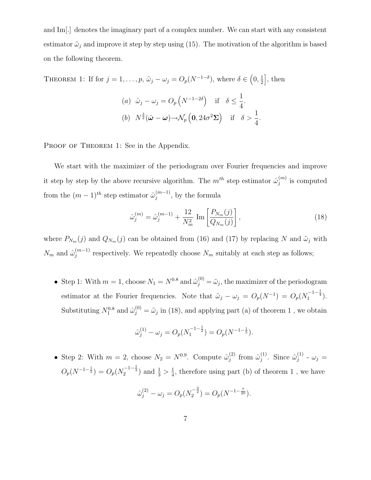and Im[.] denotes the imaginary part of a complex number. We can start with any consistent estimator  $\tilde{\omega}_j$  and improve it step by step using (15). The motivation of the algorithm is based on the following theorem.

THEOREM 1: If for 
$$
j = 1, ..., p
$$
,  $\tilde{\omega}_j - \omega_j = O_p(N^{-1-\delta})$ , where  $\delta \in (0, \frac{1}{2}]$ , then  
\n(a)  $\hat{\omega}_j - \omega_j = O_p(N^{-1-2\delta})$  if  $\delta \le \frac{1}{4}$ .  
\n(b)  $N^{\frac{3}{2}}(\hat{\omega} - \omega) \rightarrow \mathcal{N}_p(\mathbf{0}, 24\sigma^2 \Sigma)$  if  $\delta > \frac{1}{4}$ .

PROOF OF THEOREM 1: See in the Appendix.

We start with the maximizer of the periodogram over Fourier frequencies and improve it step by step by the above recursive algorithm. The  $m^{th}$  step estimator  $\hat{\omega}_i^{(m)}$  $j^{(m)}$  is computed from the  $(m-1)^{th}$  step estimator  $\hat{\omega}_i^{(m-1)}$  $j^{(m-1)}$ , by the formula

$$
\hat{\omega}_j^{(m)} = \hat{\omega}_j^{(m-1)} + \frac{12}{N_m^2} \operatorname{Im} \left[ \frac{P_{N_m}(j)}{Q_{N_m}(j)} \right],\tag{18}
$$

where  $P_{N_m}(j)$  and  $Q_{N_m}(j)$  can be obtained from (16) and (17) by replacing N and  $\tilde{\omega}_j$  with  $N_m$  and  $\hat{\omega}_j^{(m-1)}$  $j_j^{(m-1)}$  respectively. We repeatedly choose  $N_m$  suitably at each step as follows;

• Step 1: With  $m = 1$ , choose  $N_1 = N^{0.8}$  and  $\hat{\omega}_j^{(0)} = \tilde{\omega}_j$ , the maximizer of the periodogram estimator at the Fourier frequencies. Note that  $\tilde{\omega}_j - \omega_j = O_p(N^{-1}) = O_p(N_1^{-1-\frac{1}{4}})$ . Substituting  $N_1^{0.8}$  and  $\hat{\omega}_j^{(0)} = \tilde{\omega}_j$  in (18), and applying part (a) of theorem 1, we obtain

$$
\hat{\omega}_j^{(1)} - \omega_j = O_p(N_1^{-1-\frac{1}{2}}) = O_p(N^{-1-\frac{1}{5}}).
$$

• Step 2: With  $m = 2$ , choose  $N_2 = N^{0.9}$ . Compute  $\hat{\omega}_i^{(2)}$  $\hat{\omega}_j^{(2)}$  from  $\hat{\omega}_j^{(1)}$  $\hat{\omega}_j^{(1)}$ . Since  $\hat{\omega}_j^{(1)}$  $\overset{(1)}{j}$  -  $\omega_j =$  $O_p(N^{-1-\frac{1}{5}}) = O_p(N_2^{-1-\frac{1}{3}})$  and  $\frac{1}{3} > \frac{1}{4}$  $\frac{1}{4}$ , therefore using part (b) of theorem 1, we have

$$
\hat{\omega}_j^{(2)} - \omega_j = O_p(N_2^{-\frac{3}{2}}) = O_p(N^{-1-\frac{7}{20}}).
$$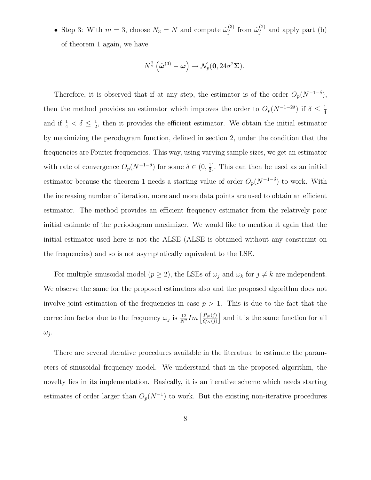• Step 3: With  $m = 3$ , choose  $N_3 = N$  and compute  $\hat{\omega}_i^{(3)}$  $j^{(3)}$  from  $\hat{\omega}_j^{(2)}$  and apply part (b) of theorem 1 again, we have

$$
N^{\frac{3}{2}}\left(\hat{\boldsymbol{\omega}}^{(3)}-\boldsymbol{\omega}\right)\rightarrow \mathcal{N}_p(\mathbf{0},24\sigma^2\boldsymbol{\Sigma}).
$$

Therefore, it is observed that if at any step, the estimator is of the order  $O_p(N^{-1-\delta})$ , then the method provides an estimator which improves the order to  $O_p(N^{-1-2\delta})$  if  $\delta \leq \frac{1}{4}$ 4 and if  $\frac{1}{4} < \delta \leq \frac{1}{2}$  $\frac{1}{2}$ , then it provides the efficient estimator. We obtain the initial estimator by maximizing the perodogram function, defined in section 2, under the condition that the frequencies are Fourier frequencies. This way, using varying sample sizes, we get an estimator with rate of convergence  $O_p(N^{-1-\delta})$  for some  $\delta \in (0, \frac{1}{2})$  $\frac{1}{2}$ . This can then be used as an initial estimator because the theorem 1 needs a starting value of order  $O_p(N^{-1-\delta})$  to work. With the increasing number of iteration, more and more data points are used to obtain an efficient estimator. The method provides an efficient frequency estimator from the relatively poor initial estimate of the periodogram maximizer. We would like to mention it again that the initial estimator used here is not the ALSE (ALSE is obtained without any constraint on the frequencies) and so is not asymptotically equivalent to the LSE.

For multiple sinusoidal model ( $p \ge 2$ ), the LSEs of  $\omega_j$  and  $\omega_k$  for  $j \ne k$  are independent. We observe the same for the proposed estimators also and the proposed algorithm does not involve joint estimation of the frequencies in case  $p > 1$ . This is due to the fact that the correction factor due to the frequency  $\omega_j$  is  $\frac{12}{N^2}Im\left[\frac{P_N(j)}{Q_N(j)}\right]$  $Q_N(j)$ and it is the same function for all  $\omega_j$ .

There are several iterative procedures available in the literature to estimate the parameters of sinusoidal frequency model. We understand that in the proposed algorithm, the novelty lies in its implementation. Basically, it is an iterative scheme which needs starting estimates of order larger than  $O_p(N^{-1})$  to work. But the existing non-iterative procedures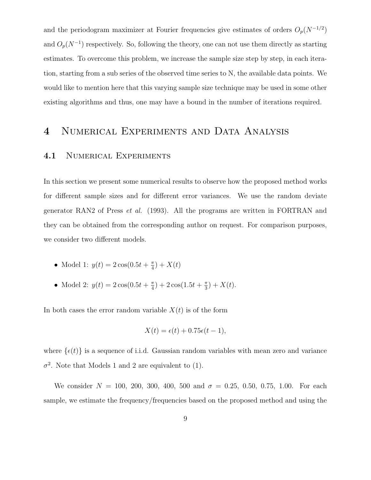and the periodogram maximizer at Fourier frequencies give estimates of orders  $O_p(N^{-1/2})$ and  $O_p(N^{-1})$  respectively. So, following the theory, one can not use them directly as starting estimates. To overcome this problem, we increase the sample size step by step, in each iteration, starting from a sub series of the observed time series to N, the available data points. We would like to mention here that this varying sample size technique may be used in some other existing algorithms and thus, one may have a bound in the number of iterations required.

### 4 Numerical Experiments and Data Analysis

### 4.1 NUMERICAL EXPERIMENTS

In this section we present some numerical results to observe how the proposed method works for different sample sizes and for different error variances. We use the random deviate generator RAN2 of Press et al. (1993). All the programs are written in FORTRAN and they can be obtained from the corresponding author on request. For comparison purposes, we consider two different models.

- Model 1:  $y(t) = 2\cos(0.5t + \frac{\pi}{4})$  $\frac{\pi}{4}$  +  $X(t)$
- Model 2:  $y(t) = 2\cos(0.5t + \frac{\pi}{4})$  $(\frac{\pi}{4})+2\cos(1.5t+\frac{\pi}{3})$  $(\frac{\pi}{3}) + X(t).$

In both cases the error random variable  $X(t)$  is of the form

$$
X(t) = \epsilon(t) + 0.75\epsilon(t - 1),
$$

where  $\{\epsilon(t)\}\$ is a sequence of i.i.d. Gaussian random variables with mean zero and variance  $\sigma^2$ . Note that Models 1 and 2 are equivalent to (1).

We consider  $N = 100, 200, 300, 400, 500$  and  $\sigma = 0.25, 0.50, 0.75, 1.00$ . For each sample, we estimate the frequency/frequencies based on the proposed method and using the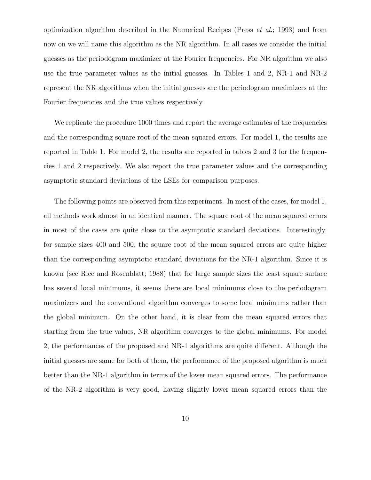optimization algorithm described in the Numerical Recipes (Press et al.; 1993) and from now on we will name this algorithm as the NR algorithm. In all cases we consider the initial guesses as the periodogram maximizer at the Fourier frequencies. For NR algorithm we also use the true parameter values as the initial guesses. In Tables 1 and 2, NR-1 and NR-2 represent the NR algorithms when the initial guesses are the periodogram maximizers at the Fourier frequencies and the true values respectively.

We replicate the procedure 1000 times and report the average estimates of the frequencies and the corresponding square root of the mean squared errors. For model 1, the results are reported in Table 1. For model 2, the results are reported in tables 2 and 3 for the frequencies 1 and 2 respectively. We also report the true parameter values and the corresponding asymptotic standard deviations of the LSEs for comparison purposes.

The following points are observed from this experiment. In most of the cases, for model 1, all methods work almost in an identical manner. The square root of the mean squared errors in most of the cases are quite close to the asymptotic standard deviations. Interestingly, for sample sizes 400 and 500, the square root of the mean squared errors are quite higher than the corresponding asymptotic standard deviations for the NR-1 algorithm. Since it is known (see Rice and Rosenblatt; 1988) that for large sample sizes the least square surface has several local minimums, it seems there are local minimums close to the periodogram maximizers and the conventional algorithm converges to some local minimums rather than the global minimum. On the other hand, it is clear from the mean squared errors that starting from the true values, NR algorithm converges to the global minimums. For model 2, the performances of the proposed and NR-1 algorithms are quite different. Although the initial guesses are same for both of them, the performance of the proposed algorithm is much better than the NR-1 algorithm in terms of the lower mean squared errors. The performance of the NR-2 algorithm is very good, having slightly lower mean squared errors than the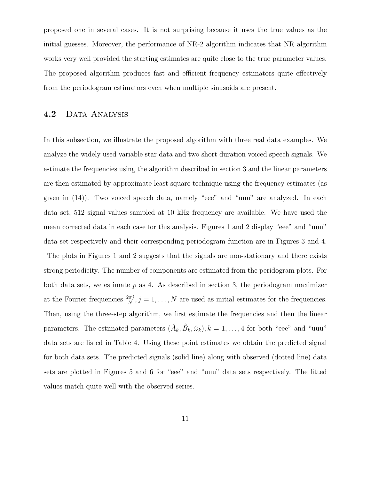proposed one in several cases. It is not surprising because it uses the true values as the initial guesses. Moreover, the performance of NR-2 algorithm indicates that NR algorithm works very well provided the starting estimates are quite close to the true parameter values. The proposed algorithm produces fast and efficient frequency estimators quite effectively from the periodogram estimators even when multiple sinusoids are present.

### 4.2 DATA ANALYSIS

In this subsection, we illustrate the proposed algorithm with three real data examples. We analyze the widely used variable star data and two short duration voiced speech signals. We estimate the frequencies using the algorithm described in section 3 and the linear parameters are then estimated by approximate least square technique using the frequency estimates (as given in (14)). Two voiced speech data, namely "eee" and "uuu" are analyzed. In each data set, 512 signal values sampled at 10 kHz frequency are available. We have used the mean corrected data in each case for this analysis. Figures 1 and 2 display "eee" and "uuu" data set respectively and their corresponding periodogram function are in Figures 3 and 4.

The plots in Figures 1 and 2 suggests that the signals are non-stationary and there exists strong periodicity. The number of components are estimated from the peridogram plots. For both data sets, we estimate  $p$  as 4. As described in section 3, the periodogram maximizer at the Fourier frequencies  $\frac{2\pi j}{N}$ ,  $j = 1, ..., N$  are used as initial estimates for the frequencies. Then, using the three-step algorithm, we first estimate the frequencies and then the linear parameters. The estimated parameters  $(\hat{A}_k, \hat{B}_k, \hat{\omega}_k)$ ,  $k = 1, ..., 4$  for both "eee" and "uuu" data sets are listed in Table 4. Using these point estimates we obtain the predicted signal for both data sets. The predicted signals (solid line) along with observed (dotted line) data sets are plotted in Figures 5 and 6 for "eee" and "uuu" data sets respectively. The fitted values match quite well with the observed series.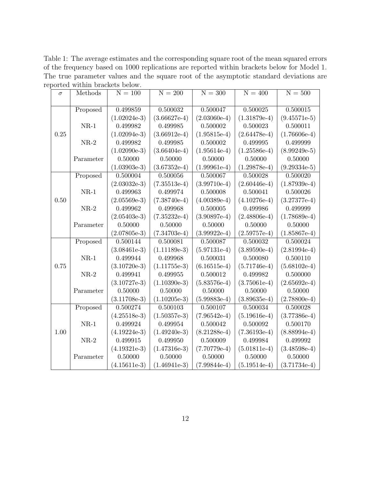Table 1: The average estimates and the corresponding square root of the mean squared errors of the frequency based on 1000 replications are reported within brackets below for Model 1. The true parameter values and the square root of the asymptotic standard deviations are reported within brackets below.

| $\sigma$ | Methods   | $N = 100$      | $N = 200$      | $N = 300$      | $N = 400$      | $N = 500$      |
|----------|-----------|----------------|----------------|----------------|----------------|----------------|
|          |           |                |                |                |                |                |
|          | Proposed  | 0.499859       | 0.500032       | 0.500047       | 0.500025       | 0.500015       |
|          |           | $(1.02024e-3)$ | $(3.66627e-4)$ | $(2.03060e-4)$ | $(1.31879e-4)$ | $(9.45571e-5)$ |
|          | $NR-1$    | 0.499982       | 0.499985       | 0.500002       | 0.500023       | 0.500011       |
| 0.25     |           | $(1.02094e-3)$ | $(3.66912e-4)$ | $(1.95815e-4)$ | $(2.64478e-4)$ | $(1.76606e-4)$ |
|          | $NR-2$    | 0.499982       | 0.499985       | 0.500002       | 0.499995       | 0.499999       |
|          |           | $(1.02090e-3)$ | $(3.66404e-4)$ | $(1.95614e-4)$ | $(1.25586e-4)$ | $(8.99249e-5)$ |
|          | Parameter | 0.50000        | 0.50000        | 0.50000        | 0.50000        | 0.50000        |
|          |           | $(1.03903e-3)$ | $(3.67352e-4)$ | $(1.99961e-4)$ | $(1.29878e-4)$ | $(9.29334e-5)$ |
|          | Proposed  | 0.500004       | 0.500056       | 0.500067       | 0.500028       | 0.500020       |
|          |           | $(2.03032e-3)$ | $(7.35513e-4)$ | $(3.99710e-4)$ | $(2.60446e-4)$ | $(1.87939e-4)$ |
|          | $NR-1$    | 0.499963       | 0.499974       | 0.500008       | 0.500041       | 0.500026       |
| 0.50     |           | $(2.05569e-3)$ | $(7.38740e-4)$ | $(4.00389e-4)$ | $(4.10276e-4)$ | $(3.27377e-4)$ |
|          | $NR-2$    | 0.499962       | 0.499968       | 0.500005       | 0.499986       | 0.499999       |
|          |           | $(2.05403e-3)$ | $(7.35232e-4)$ | $(3.90897e-4)$ | $(2.48806e-4)$ | $(1.78689e-4)$ |
|          | Parameter | 0.50000        | 0.50000        | 0.50000        | 0.50000        | 0.50000        |
|          |           | $(2.07805e-3)$ | $(7.34703e-4)$ | $(3.99922e-4)$ | $(2.59757e-4)$ | $(1.85867e-4)$ |
|          | Proposed  | 0.500144       | 0.500081       | 0.500087       | 0.500032       | 0.500024       |
|          |           | $(3.08461e-3)$ | $(1.11189e-3)$ | $(5.97131e-4)$ | $(3.89590e-4)$ | $(2.81994e-4)$ |
| 0.75     | $NR-1$    | 0.499944       | 0.499968       | 0.500031       | 0.500080       | 0.500110       |
|          |           | $(3.10720e-3)$ | $(1.11755e-3)$ | $(6.16515e-4)$ | $(5.71746e-4)$ | $(5.68102e-4)$ |
|          | $NR-2$    | 0.499941       | 0.499955       | 0.500012       | 0.499982       | 0.500000       |
|          |           | $(3.10727e-3)$ | $(1.10390e-3)$ | $(5.83576e-4)$ | $(3.75061e-4)$ | $(2.65692e-4)$ |
|          | Parameter | 0.50000        | 0.50000        | 0.50000        | 0.50000        | 0.50000        |
|          |           | $(3.11708e-3)$ | $(1.10205e-3)$ | $(5.99883e-4)$ | $(3.89635e-4)$ | $(2.78800e-4)$ |
|          | Proposed  | 0.500274       | 0.500103       | 0.500107       | 0.500034       | 0.500028       |
|          |           | $(4.25518e-3)$ | $(1.50357e-3)$ | $(7.96542e-4)$ | $(5.19616e-4)$ | $(3.77386e-4)$ |
|          | $NR-1$    | 0.499924       | 0.499954       | 0.500042       | 0.500092       | 0.500170       |
| 1.00     |           | $(4.19224e-3)$ | $(1.49240e-3)$ | $(8.21288e-4)$ | $(7.36193e-4)$ | $(8.88994e-4)$ |
|          | $NR-2$    | 0.499915       | 0.499950       | 0.500009       | 0.499984       | 0.499992       |
|          |           | $(4.19321e-3)$ | $(1.47316e-3)$ | $(7.70779e-4)$ | $(5.01811e-4)$ | $(3.48598e-4)$ |
|          | Parameter | 0.50000        | 0.50000        | 0.50000        | 0.50000        | 0.50000        |
|          |           | $(4.15611e-3)$ | $(1.46941e-3)$ | $(7.99844e-4)$ | $(5.19514e-4)$ | $(3.71734e-4)$ |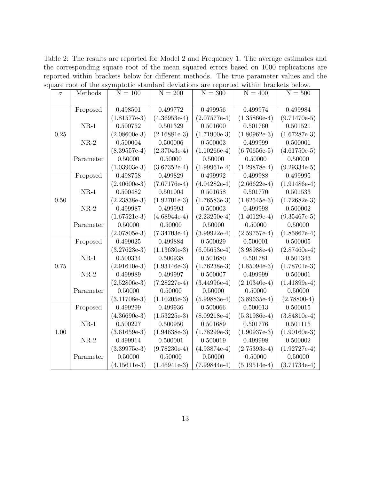Table 2: The results are reported for Model 2 and Frequency 1. The average estimates and the corresponding square root of the mean squared errors based on 1000 replications are reported within brackets below for different methods. The true parameter values and the square root of the asymptotic standard deviations are reported within brackets below.

| $\sigma$ | Methods   | $N = 100$      | $N = 200$      | $N = 300$      | $N = 400$      | $N = 500$      |
|----------|-----------|----------------|----------------|----------------|----------------|----------------|
|          |           |                |                |                |                |                |
|          | Proposed  | 0.498501       | 0.499772       | 0.499956       | 0.499974       | 0.499984       |
|          |           | $(1.81577e-3)$ | $(4.36953e-4)$ | $(2.07577e-4)$ | $(1.35860e-4)$ | $(9.71470e-5)$ |
|          | $NR-1$    | 0.500752       | 0.501329       | 0.501600       | 0.501760       | 0.501521       |
| 0.25     |           | $(2.08600e-3)$ | $(2.16881e-3)$ | $(1.71900e-3)$ | $(1.80962e-3)$ | $(1.67287e-3)$ |
|          | $NR-2$    | 0.500004       | 0.500006       | 0.500003       | 0.499999       | 0.500001       |
|          |           | $(8.39557e-4)$ | $(2.37043e-4)$ | $(1.10266e-4)$ | $(6.70656e-5)$ | $(4.61750e-5)$ |
|          | Parameter | 0.50000        | 0.50000        | 0.50000        | 0.50000        | 0.50000        |
|          |           | $(1.03903e-3)$ | $(3.67352e-4)$ | $(1.99961e-4)$ | $(1.29878e-4)$ | $(9.29334e-5)$ |
|          | Proposed  | 0.498758       | 0.499829       | 0.499992       | 0.499988       | 0.499995       |
|          |           | $(2.40600e-3)$ | $(7.67176e-4)$ | $(4.04282e-4)$ | $(2.66622e-4)$ | $(1.91486e-4)$ |
|          | $NR-1$    | 0.500482       | 0.501004       | 0.501658       | 0.501770       | 0.501533       |
| 0.50     |           | $(2.23838e-3)$ | $(1.92701e-3)$ | $(1.76583e-3)$ | $(1.82545e-3)$ | $(1.72682e-3)$ |
|          | $NR-2$    | 0.499987       | 0.499993       | 0.500003       | 0.499998       | 0.500002       |
|          |           | $(1.67521e-3)$ | $(4.68944e-4)$ | $(2.23250e-4)$ | $(1.40129e-4)$ | $(9.35467e-5)$ |
|          | Parameter | 0.50000        | 0.50000        | 0.50000        | 0.50000        | 0.50000        |
|          |           | $(2.07805e-3)$ | $(7.34703e-4)$ | $(3.99922e-4)$ | $(2.59757e-4)$ | $(1.85867e-4)$ |
|          | Proposed  | 0.499025       | 0.499884       | 0.500029       | 0.500001       | 0.500005       |
|          |           | $(3.27623e-3)$ | $(1.13630e-3)$ | $(6.05653e-4)$ | $(3.98988e-4)$ | $(2.87460e-4)$ |
|          | $NR-1$    | 0.500334       | 0.500938       | 0.501680       | 0.501781       | 0.501343       |
| 0.75     |           | $(2.91610e-3)$ | $(1.93146e-3)$ | $(1.76238e-3)$ | $(1.85094e-3)$ | $(1.78701e-3)$ |
|          | $NR-2$    | 0.499989       | 0.499997       | 0.500007       | 0.499999       | 0.500001       |
|          |           | $(2.52806e-3)$ | $(7.28227e-4)$ | $(3.44996e-4)$ | $(2.10340e-4)$ | $(1.41899e-4)$ |
|          | Parameter | 0.50000        | 0.50000        | 0.50000        | 0.50000        | 0.50000        |
|          |           | $(3.11708e-3)$ | $(1.10205e-3)$ | $(5.99883e-4)$ | $(3.89635e-4)$ | $(2.78800-4)$  |
|          | Proposed  | 0.499299       | 0.499936       | 0.500066       | 0.500013       | 0.500015       |
|          |           | $(4.36690e-3)$ | $(1.53225e-3)$ | $(8.09218e-4)$ | $(5.31986e-4)$ | $(3.84810e-4)$ |
|          | $NR-1$    | 0.500227       | 0.500950       | 0.501689       | 0.501776       | 0.501115       |
| 1.00     |           | $(3.61659e-3)$ | $(1.94638e-3)$ | $(1.78299e-3)$ | $(1.90937e-3)$ | $(1.90160e-3)$ |
|          | $NR-2$    | 0.499914       | 0.500001       | 0.500019       | 0.499998       | 0.500002       |
|          |           | $(3.39975e-3)$ | $(9.78230e-4)$ | $(4.93874e-4)$ | $(2.75393e-4)$ | $(1.92727e-4)$ |
|          | Parameter | 0.50000        | 0.50000        | 0.50000        | 0.50000        | 0.50000        |
|          |           | $(4.15611e-3)$ | $(1.46941e-3)$ | $(7.99844e-4)$ | $(5.19514e-4)$ | $(3.71734e-4)$ |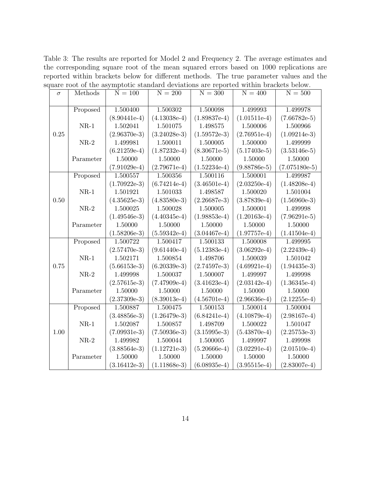Table 3: The results are reported for Model 2 and Frequency 2. The average estimates and the corresponding square root of the mean squared errors based on 1000 replications are reported within brackets below for different methods. The true parameter values and the square root of the asymptotic standard deviations are reported within brackets below.

| $\sigma$ | Methods   | $N = 100$      | $N = 200$      | $N = 300$      | $N = 400$      | $N = 500$       |
|----------|-----------|----------------|----------------|----------------|----------------|-----------------|
|          |           |                |                |                |                |                 |
|          | Proposed  | 1.500400       | 1.500302       | 1.500098       | 1.499993       | 1.499978        |
|          |           | $(8.90441e-4)$ | $(4.13038e-4)$ | $(1.89837e-4)$ | $(1.01511e-4)$ | $(7.66782e-5)$  |
|          | $NR-1$    | 1.502041       | 1.501075       | 1.498575       | 1.500006       | 1.500966        |
| 0.25     |           | $(2.96370e-3)$ | $(3.24028e-3)$ | $(1.59572e-3)$ | $(2.76951e-4)$ | $(1.09214e-3)$  |
|          | $NR-2$    | 1.499981       | 1.500011       | 1.500005       | 1.500000       | 1.499999        |
|          |           | $(6.21259e-4)$ | $(1.87232e-4)$ | $(8.30671e-5)$ | $(5.17403e-5)$ | $(3.53146e-5)$  |
|          | Parameter | 1.50000        | 1.50000        | 1.50000        | 1.50000        | 1.50000         |
|          |           | $(7.91029e-4)$ | $(2.79671e-4)$ | $(1.52234e-4)$ | $(9.88786-5)$  | $(7.075180e-5)$ |
|          | Proposed  | 1.500557       | 1.500356       | 1.500116       | 1.500001       | 1.499987        |
|          |           | $(1.70922e-3)$ | $(6.74214e-4)$ | $(3.46501e-4)$ | $(2.03250e-4)$ | $(1.48208e-4)$  |
|          | $NR-1$    | 1.501921       | 1.501033       | 1.498587       | 1.500020       | 1.501004        |
| 0.50     |           | $(4.35625e-3)$ | $(4.83580e-3)$ | $(2.26687e-3)$ | $(3.87839e-4)$ | $(1.56960e-3)$  |
|          | $NR-2$    | 1.500025       | 1.500028       | 1.500005       | 1.500001       | 1.499998        |
|          |           | $(1.49546e-3)$ | $(4.40345e-4)$ | $(1.98853e-4)$ | $(1.20163e-4)$ | $(7.96291e-5)$  |
|          | Parameter | 1.50000        | 1.50000        | 1.50000        | 1.50000        | 1.50000         |
|          |           | $(1.58206e-3)$ | $(5.59342e-4)$ | $(3.04467e-4)$ | $(1.97757e-4)$ | $(1.41504e-4)$  |
|          | Proposed  | 1.500722       | 1.500417       | 1.500133       | 1.500008       | 1.499995        |
|          |           | $(2.57470e-3)$ | $(9.61440e-4)$ | $(5.12383e-4)$ | $(3.06292e-4)$ | $(2.22439e-4)$  |
|          | $NR-1$    | 1.502171       | 1.500854       | 1.498706       | 1.500039       | 1.501042        |
| 0.75     |           | $(5.66153e-3)$ | $(6.20339e-3)$ | $(2.74597e-3)$ | $(4.69921e-4)$ | $(1.94435e-3)$  |
|          | $NR-2$    | 1.499998       | 1.500037       | 1.500007       | 1.499997       | 1.499998        |
|          |           | $(2.57615e-3)$ | $(7.47909e-4)$ | $(3.41623e-4)$ | $(2.03142e-4)$ | $(1.36345e-4)$  |
|          | Parameter | 1.50000        | 1.50000        | 1.50000        | 1.50000        | 1.50000         |
|          |           | $(2.37309e-3)$ | $(8.39013e-4)$ | $(4.56701e-4)$ | $(2.96636e-4)$ | $(2.12255e-4)$  |
|          | Proposed  | 1.500887       | 1.500475       | 1.500153       | 1.500014       | 1.500004        |
|          |           | $(3.48856e-3)$ | $(1.26479e-3)$ | $(6.84241e-4)$ | $(4.10879e-4)$ | $(2.98167e-4)$  |
|          | $NR-1$    | 1.502087       | 1.500857       | 1.498709       | 1.500022       | 1.501047        |
| 1.00     |           | $(7.09931e-3)$ | $(7.50936e-3)$ | $(3.15995e-3)$ | $(5.43870e-4)$ | $(2.25753e-3)$  |
|          | $NR-2$    | 1.499982       | 1.500044       | 1.500005       | 1.499997       | 1.499998        |
|          |           | $(3.88564e-3)$ | $(1.12721e-3)$ | $(5.20666e-4)$ | $(3.02291e-4)$ | $(2.01510e-4)$  |
|          | Parameter | 1.50000        | 1.50000        | 1.50000        | 1.50000        | 1.50000         |
|          |           | $(3.16412e-3)$ | $(1.11868e-3)$ | $(6.08935e-4)$ | $(3.95515e-4)$ | $(2.83007e-4)$  |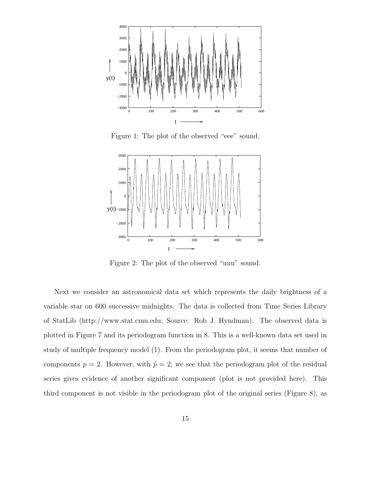

Figure 1: The plot of the observed "eee" sound.



Figure 2: The plot of the observed "uuu" sound.

Next we consider an astronomical data set which represents the daily brightness of a variable star on 600 successive midnights. The data is collected from Time Series Library of StatLib (http://www.stat.cmu.edu; Source: Rob J. Hyndman). The observed data is plotted in Figure 7 and its periodogram function in 8. This is a well-known data set used in study of multiple frequency model (1). From the periodogram plot, it seems that number of components  $p = 2$ . However, with  $\hat{p} = 2$ , we see that the periodogram plot of the residual series gives evidence of another significant component (plot is not provided here). This third component is not visible in the periodogram plot of the original series (Figure 8), as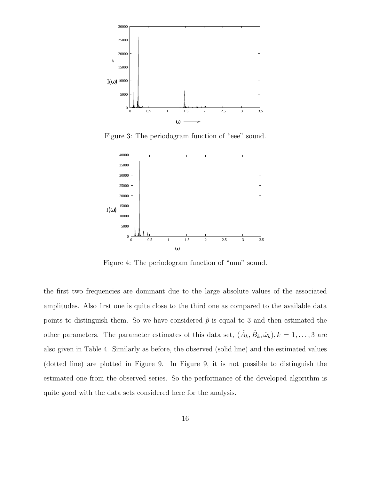

Figure 3: The periodogram function of "eee" sound.



Figure 4: The periodogram function of "uuu" sound.

the first two frequencies are dominant due to the large absolute values of the associated amplitudes. Also first one is quite close to the third one as compared to the available data points to distinguish them. So we have considered  $\hat{p}$  is equal to 3 and then estimated the other parameters. The parameter estimates of this data set,  $(\hat{A}_k, \hat{B}_k, \hat{\omega}_k), k = 1, \ldots, 3$  are also given in Table 4. Similarly as before, the observed (solid line) and the estimated values (dotted line) are plotted in Figure 9. In Figure 9, it is not possible to distinguish the estimated one from the observed series. So the performance of the developed algorithm is quite good with the data sets considered here for the analysis.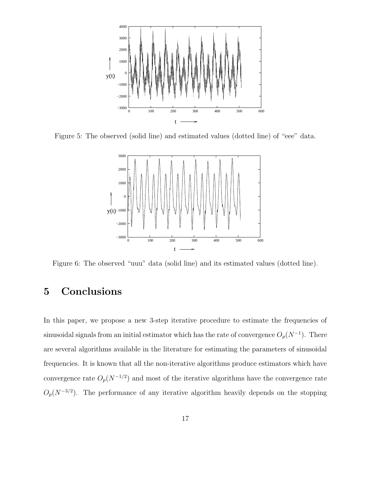

Figure 5: The observed (solid line) and estimated values (dotted line) of "eee" data.



Figure 6: The observed "uuu" data (solid line) and its estimated values (dotted line).

# 5 Conclusions

In this paper, we propose a new 3-step iterative procedure to estimate the frequencies of sinusoidal signals from an initial estimator which has the rate of convergence  $O_p(N^{-1})$ . There are several algorithms available in the literature for estimating the parameters of sinusoidal frequencies. It is known that all the non-iterative algorithms produce estimators which have convergence rate  $O_p(N^{-1/2})$  and most of the iterative algorithms have the convergence rate  $O_p(N^{-3/2})$ . The performance of any iterative algorithm heavily depends on the stopping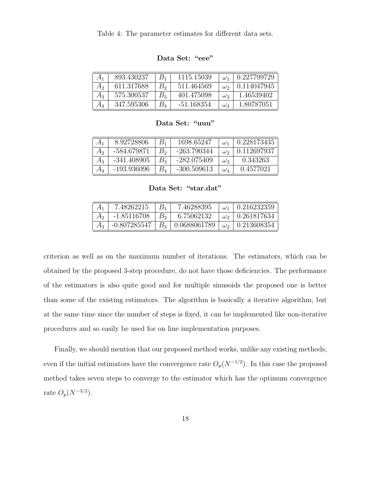Table 4: The parameter estimates for different data sets.

|       | 893.430237 | $B_1$ | 1115.15039   | $\omega_1$   | 0.227799729 |
|-------|------------|-------|--------------|--------------|-------------|
| А,    | 611.317688 | B,    | 511.464569   |              | 0.114047945 |
| Aз    | 575.300537 | $B_3$ | 401.475098   | $\omega_3$   | 1.46539402  |
| $A_4$ | 347.595306 | $B_4$ | $-51.168354$ | $\omega_{4}$ | 1.80787051  |

Data Set: "eee"

Data Set: "uuu"

| $A_1$   | 8.92728806    | $B_{\rm 1}$ | 1698.65247    | $\omega_1$ | 0.228173435 |
|---------|---------------|-------------|---------------|------------|-------------|
| Aэ      | -584.679871   | B,          | -263.790344   | $\omega_2$ | 0.112697937 |
| $A_3$   | $-341.408905$ | $B_{3}$     | -282.075409   | $\omega_3$ | 0.343263    |
| $A_4\,$ | -193.936096   |             | $-300.509613$ | $\omega_4$ | 0.4577021   |

Data Set: "star.dat"

| $A_1$ | 7.48262215    |       | 7.46288395                                                     | $\omega_1$   0.216232359 |
|-------|---------------|-------|----------------------------------------------------------------|--------------------------|
|       | $-1.85116708$ | $B_2$ | 6.75062132                                                     | $\omega_2$   0.261817634 |
| $A_3$ |               |       | -0.807285547   $B_3$   0.0688061789   $\omega_2$   0.213608354 |                          |

criterion as well as on the maximum number of iterations. The estimators, which can be obtained by the proposed 3-step procedure, do not have those deficiencies. The performance of the estimators is also quite good and for multiple sinusoids the proposed one is better than some of the existing estimators. The algorithm is basically a iterative algorithm, but at the same time since the number of steps is fixed, it can be implemented like non-iterative procedures and so easily be used for on line implementation purposes.

Finally, we should mention that our proposed method works, unlike any existing methods, even if the initial estimators have the convergence rate  $O_p(N^{-1/2})$ . In this case the proposed method takes seven steps to converge to the estimator which has the optimum convergence rate  $O_p(N^{-3/2})$ .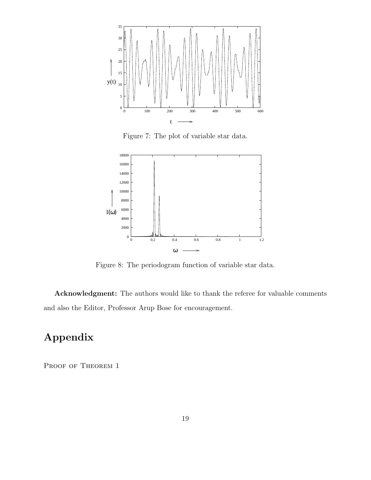

Figure 7: The plot of variable star data.



Figure 8: The periodogram function of variable star data.

Acknowledgment: The authors would like to thank the referee for valuable comments and also the Editor, Professor Arup Bose for encouragement.

# Appendix

PROOF OF THEOREM 1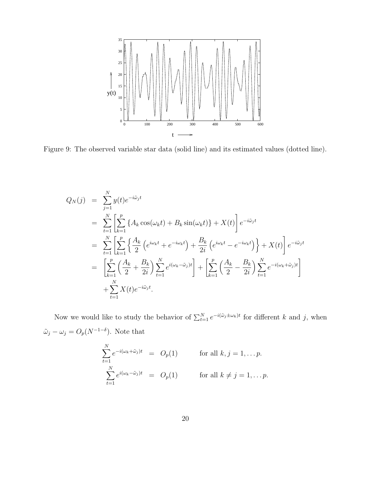

Figure 9: The observed variable star data (solid line) and its estimated values (dotted line).

$$
Q_N(j) = \sum_{j=1}^N y(t)e^{-i\tilde{\omega}_j t}
$$
  
\n
$$
= \sum_{t=1}^N \left[ \sum_{k=1}^p \left\{ A_k \cos(\omega_k t) + B_k \sin(\omega_k t) \right\} + X(t) \right] e^{-i\tilde{\omega}_j t}
$$
  
\n
$$
= \sum_{t=1}^N \left[ \sum_{k=1}^p \left\{ \frac{A_k}{2} \left( e^{i\omega_k t} + e^{-i\omega_k t} \right) + \frac{B_k}{2i} \left( e^{i\omega_k t} - e^{-i\omega_k t} \right) \right\} + X(t) \right] e^{-i\tilde{\omega}_j t}
$$
  
\n
$$
= \left[ \sum_{k=1}^p \left( \frac{A_k}{2} + \frac{B_k}{2i} \right) \sum_{t=1}^N e^{i(\omega_k - \tilde{\omega}_j)t} \right] + \left[ \sum_{k=1}^p \left( \frac{A_k}{2} - \frac{B_k}{2i} \right) \sum_{t=1}^N e^{-i(\omega_k + \tilde{\omega}_j)t} \right]
$$
  
\n
$$
+ \sum_{t=1}^N X(t) e^{-i\tilde{\omega}_j t}.
$$

Now we would like to study the behavior of  $\sum_{t=1}^{N} e^{-i(\tilde{\omega}_j \pm \omega_k)t}$  for different k and j, when  $\tilde{\omega}_j - \omega_j = O_p(N^{-1-\delta})$ . Note that

$$
\sum_{t=1}^{N} e^{-i(\omega_k + \tilde{\omega}_j)t} = O_p(1) \quad \text{for all } k, j = 1, \dots p.
$$
  

$$
\sum_{t=1}^{N} e^{i(\omega_k - \tilde{\omega}_j)t} = O_p(1) \quad \text{for all } k \neq j = 1, \dots p.
$$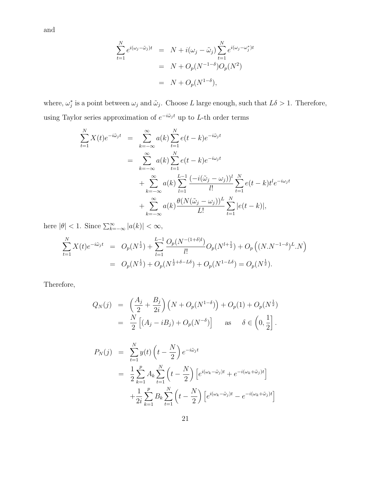and

$$
\sum_{t=1}^{N} e^{i(\omega_j - \tilde{\omega}_j)t} = N + i(\omega_j - \tilde{\omega}_j) \sum_{t=1}^{N} e^{i(\omega_j - \omega_j^*)t}
$$

$$
= N + O_p(N^{-1-\delta})O_p(N^2)
$$

$$
= N + O_p(N^{1-\delta}),
$$

where,  $\omega_j^*$  is a point between  $\omega_j$  and  $\tilde{\omega}_j$ . Choose L large enough, such that  $L\delta > 1$ . Therefore, using Taylor series approximation of  $e^{-i\tilde{\omega}_j t}$  up to L-th order terms

$$
\sum_{t=1}^{N} X(t)e^{-i\tilde{\omega}_j t} = \sum_{k=-\infty}^{\infty} a(k) \sum_{t=1}^{N} e(t-k)e^{-i\tilde{\omega}_j t}
$$
  
\n
$$
= \sum_{k=-\infty}^{\infty} a(k) \sum_{t=1}^{N} e(t-k)e^{-i\omega_j t}
$$
  
\n
$$
+ \sum_{k=-\infty}^{\infty} a(k) \sum_{l=1}^{L-1} \frac{(-i(\tilde{\omega}_j - \omega_j))^l}{l!} \sum_{t=1}^{N} e(t-k)t^l e^{-i\omega_j t}
$$
  
\n
$$
+ \sum_{k=-\infty}^{\infty} a(k) \frac{\theta(N(\tilde{\omega}_j - \omega_j))^L}{L!} \sum_{t=1}^{N} |e(t-k)|,
$$

here  $|\theta| < 1$ . Since  $\sum_{k=-\infty}^{\infty} |a(k)| < \infty$ ,

$$
\sum_{t=1}^{N} X(t)e^{-i\tilde{\omega}_j t} = O_p(N^{\frac{1}{2}}) + \sum_{l=1}^{L-1} \frac{O_p(N^{-(1+\delta)l})}{l!} O_p(N^{l+\frac{1}{2}}) + O_p((N \cdot N^{-1-\delta})^L \cdot N)
$$
  
=  $O_p(N^{\frac{1}{2}}) + O_p(N^{\frac{1}{2}+\delta-L\delta}) + O_p(N^{1-L\delta}) = O_p(N^{\frac{1}{2}}).$ 

Therefore,

$$
Q_N(j) = \left(\frac{A_j}{2} + \frac{B_j}{2i}\right) \left(N + O_p(N^{1-\delta})\right) + O_p(1) + O_p(N^{\frac{1}{2}})
$$
  
=  $\frac{N}{2} \left[ (A_j - iB_j) + O_p(N^{-\delta}) \right]$  as  $\delta \in \left(0, \frac{1}{2}\right]$ .

$$
P_N(j) = \sum_{t=1}^N y(t) \left( t - \frac{N}{2} \right) e^{-i\tilde{\omega}_j t}
$$
  
= 
$$
\frac{1}{2} \sum_{k=1}^p A_k \sum_{t=1}^N \left( t - \frac{N}{2} \right) \left[ e^{i(\omega_k - \tilde{\omega}_j)t} + e^{-i(\omega_k + \tilde{\omega}_j)t} \right]
$$
  
+ 
$$
\frac{1}{2i} \sum_{k=1}^p B_k \sum_{t=1}^N \left( t - \frac{N}{2} \right) \left[ e^{i(\omega_k - \tilde{\omega}_j)t} - e^{-i(\omega_k + \tilde{\omega}_j)t} \right]
$$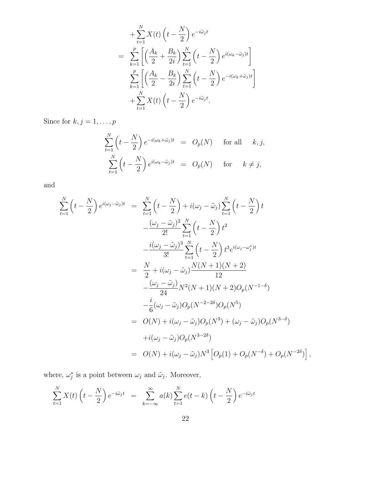$$
+\sum_{t=1}^{N} X(t) \left(t - \frac{N}{2}\right) e^{-i\tilde{\omega}_j t}
$$
  
= 
$$
\sum_{k=1}^{p} \left[ \left(\frac{A_k}{2} + \frac{B_k}{2i}\right) \sum_{t=1}^{N} \left(t - \frac{N}{2}\right) e^{i(\omega_k - \tilde{\omega}_j)t} \right]
$$
  

$$
\sum_{k=1}^{p} \left[ \left(\frac{A_k}{2} - \frac{B_k}{2i}\right) \sum_{t=1}^{N} \left(t - \frac{N}{2}\right) e^{-i(\omega_k + \tilde{\omega}_j)t} \right]
$$
  

$$
+\sum_{t=1}^{N} X(t) \left(t - \frac{N}{2}\right) e^{-i\tilde{\omega}_j t}.
$$

Since for  $k, j = 1, \ldots, p$ 

$$
\sum_{t=1}^{N} \left( t - \frac{N}{2} \right) e^{-i(\omega_k + \tilde{\omega}_j)t} = O_p(N) \quad \text{for all} \quad k, j,
$$
  

$$
\sum_{t=1}^{N} \left( t - \frac{N}{2} \right) e^{i(\omega_k - \tilde{\omega}_j)t} = O_p(N) \quad \text{for} \quad k \neq j,
$$

and

$$
\sum_{t=1}^{N} \left( t - \frac{N}{2} \right) e^{i(\omega_j - \tilde{\omega}_j)t} = \sum_{t=1}^{N} \left( t - \frac{N}{2} \right) + i(\omega_j - \tilde{\omega}_j) \sum_{t=1}^{N} \left( t - \frac{N}{2} \right) t
$$
  

$$
- \frac{(\omega_j - \tilde{\omega}_j)^2}{2!} \sum_{t=1}^{N} \left( t - \frac{N}{2} \right) t^2
$$
  

$$
- \frac{i(\omega_j - \tilde{\omega}_j)^3}{3!} \sum_{t=1}^{N} \left( t - \frac{N}{2} \right) t^3 e^{i(\omega_j - \omega_j^*)t}
$$
  

$$
= \frac{N}{2} + i(\omega_j - \tilde{\omega}_j) \frac{N(N+1)(N+2)}{12}
$$
  

$$
- \frac{(\omega_j - \tilde{\omega}_j)}{24} N^2 (N+1)(N+2) O_p(N^{-1-\delta})
$$
  

$$
- \frac{i}{6} (\omega_j - \tilde{\omega}_j) O_p(N^{-2-2\delta}) O_p(N^5)
$$
  

$$
= O(N) + i(\omega_j - \tilde{\omega}_j) O_p(N^3) + (\omega_j - \tilde{\omega}_j) O_p(N^{3-\delta})
$$
  

$$
+ i(\omega_j - \tilde{\omega}_j) O_p(N^{3-2\delta})
$$
  

$$
= O(N) + i(\omega_j - \tilde{\omega}_j) N^3 \left[ O_p(1) + O_p(N^{-\delta}) + O_p(N^{-2\delta}) \right],
$$

where,  $\omega_j^*$  is a point between  $\omega_j$  and  $\tilde{\omega}_j$ . Moreover,

$$
\sum_{t=1}^{N} X(t) \left( t - \frac{N}{2} \right) e^{-i \tilde{\omega}_j t} = \sum_{k=-\infty}^{\infty} a(k) \sum_{t=1}^{N} e(t-k) \left( t - \frac{N}{2} \right) e^{-i \tilde{\omega}_j t}
$$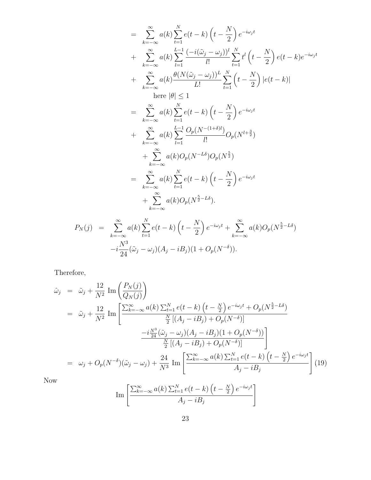$$
= \sum_{k=-\infty}^{\infty} a(k) \sum_{t=1}^{N} e(t-k) \left(t - \frac{N}{2}\right) e^{-i\omega_j t} + \sum_{k=-\infty}^{\infty} a(k) \sum_{l=1}^{L-1} \frac{(-i(\tilde{\omega}_j - \omega_j))^l}{l!} \sum_{t=1}^{N} t^l \left(t - \frac{N}{2}\right) e(t-k) e^{-i\omega_j t} + \sum_{k=-\infty}^{\infty} a(k) \frac{\theta(N(\tilde{\omega}_j - \omega_j))^L}{L!} \sum_{t=1}^{N} \left(t - \frac{N}{2}\right) |e(t-k)| \n\text{here } |\theta| \le 1 = \sum_{k=-\infty}^{\infty} a(k) \sum_{t=1}^{N} e(t-k) \left(t - \frac{N}{2}\right) e^{-i\omega_j t} + \sum_{k=-\infty}^{\infty} a(k) \sum_{l=1}^{L-1} \frac{O_p(N^{-(1+\delta)t})}{l!} O_p(N^{l+\frac{3}{2}}) + \sum_{k=-\infty}^{\infty} a(k) O_p(N^{-L\delta}) O_p(N^{\frac{5}{2}}) = \sum_{k=-\infty}^{\infty} a(k) \sum_{t=1}^{N} e(t-k) \left(t - \frac{N}{2}\right) e^{-i\omega_j t} + \sum_{k=-\infty}^{\infty} a(k) O_p(N^{\frac{5}{2}-L\delta}).
$$

$$
P_N(j) = \sum_{k=-\infty}^{\infty} a(k) \sum_{t=1}^N e(t-k) \left( t - \frac{N}{2} \right) e^{-i\omega_j t} + \sum_{k=-\infty}^{\infty} a(k) O_p(N^{\frac{5}{2}-L\delta})
$$
  
-i $\frac{N^3}{24} (\tilde{\omega}_j - \omega_j) (A_j - iB_j) (1 + O_p(N^{-\delta})).$ 

Therefore,

$$
\hat{\omega}_{j} = \tilde{\omega}_{j} + \frac{12}{N^{2}} \operatorname{Im} \left( \frac{P_{N}(j)}{Q_{N}(j)} \right)
$$
\n
$$
= \tilde{\omega}_{j} + \frac{12}{N^{2}} \operatorname{Im} \left[ \frac{\sum_{k=-\infty}^{\infty} a(k) \sum_{t=1}^{N} e(t-k) \left( t - \frac{N}{2} \right) e^{-i\omega_{j}t} + O_{p}(N^{\frac{5}{2}-L\delta})}{\frac{N}{2} \left[ (A_{j} - iB_{j}) + O_{p}(N^{-\delta}) \right]} -i \frac{N^{3}}{2} \left[ (\tilde{A}_{j} - iB_{j}) + O_{p}(N^{-\delta}) \right] \frac{\frac{N^{3}}{2} \left[ (A_{j} - iB_{j}) + O_{p}(N^{-\delta}) \right]}{\frac{N}{2} \left[ (A_{j} - iB_{j}) + O_{p}(N^{-\delta}) \right]} \right]
$$
\n
$$
= \omega_{j} + O_{p}(N^{-\delta}) (\tilde{\omega}_{j} - \omega_{j}) + \frac{24}{N^{3}} \operatorname{Im} \left[ \frac{\sum_{k=-\infty}^{\infty} a(k) \sum_{t=1}^{N} e(t-k) \left( t - \frac{N}{2} \right) e^{-i\omega_{j}t}}{A_{j} - iB_{j}} \right] (19)
$$

Now

Im 
$$
\left[ \frac{\sum_{k=-\infty}^{\infty} a(k) \sum_{t=1}^{N} e(t-k) \left( t - \frac{N}{2} \right) e^{-i\omega_j t}}{A_j - iB_j} \right]
$$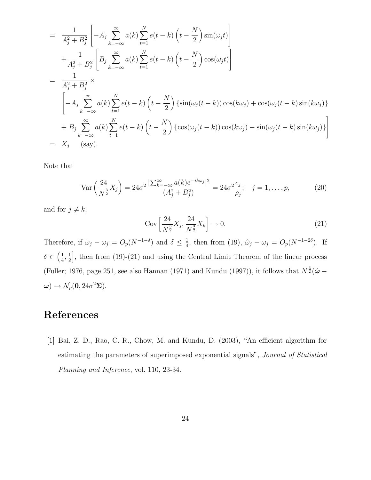$$
= \frac{1}{A_j^2 + B_j^2} \left[ -A_j \sum_{k=-\infty}^{\infty} a(k) \sum_{t=1}^N e(t-k) \left( t - \frac{N}{2} \right) \sin(\omega_j t) \right]
$$
  
+ 
$$
\frac{1}{A_j^2 + B_j^2} \left[ B_j \sum_{k=-\infty}^{\infty} a(k) \sum_{t=1}^N e(t-k) \left( t - \frac{N}{2} \right) \cos(\omega_j t) \right]
$$
  
= 
$$
\frac{1}{A_j^2 + B_j^2} \times
$$
  

$$
\left[ -A_j \sum_{k=-\infty}^{\infty} a(k) \sum_{t=1}^N e(t-k) \left( t - \frac{N}{2} \right) \left\{ \sin(\omega_j (t-k)) \cos(k\omega_j) + \cos(\omega_j (t-k) \sin(k\omega_j) \right\} \right]
$$
  
+ 
$$
B_j \sum_{k=-\infty}^{\infty} a(k) \sum_{t=1}^N e(t-k) \left( t - \frac{N}{2} \right) \left\{ \cos(\omega_j (t-k)) \cos(k\omega_j) - \sin(\omega_j (t-k) \sin(k\omega_j) \right\} \right]
$$
  
= 
$$
X_j \quad \text{(say)}.
$$

Note that

$$
\text{Var}\left(\frac{24}{N^{\frac{3}{2}}}X_j\right) = 24\sigma^2 \frac{|\sum_{k=-\infty}^{\infty} a(k)e^{-ik\omega_j}|^2}{(A_j^2 + B_j^2)} = 24\sigma^2 \frac{c_j}{\rho_j}; \quad j = 1, \dots, p,
$$
 (20)

and for  $j \neq k$ ,

$$
Cov\left[\frac{24}{N^{\frac{3}{2}}}X_j, \frac{24}{N^{\frac{3}{2}}}X_k\right] \to 0.
$$
\n(21)

Therefore, if  $\tilde{\omega}_j - \omega_j = O_p(N^{-1-\delta})$  and  $\delta \leq \frac{1}{4}$  $\frac{1}{4}$ , then from (19),  $\hat{\omega}_j - \omega_j = O_p(N^{-1-2\delta})$ . If  $\delta \in \left(\frac{1}{4}\right)$  $\frac{1}{4}$ ,  $\frac{1}{2}$  $\frac{1}{2}$ , then from (19)-(21) and using the Central Limit Theorem of the linear process (Fuller; 1976, page 251, see also Hannan (1971) and Kundu (1997)), it follows that  $N^{\frac{3}{2}}(\hat{\omega} \omega) \rightarrow \mathcal{N}_p(\mathbf{0}, 24\sigma^2 \mathbf{\Sigma}).$ 

## References

[1] Bai, Z. D., Rao, C. R., Chow, M. and Kundu, D. (2003), "An efficient algorithm for estimating the parameters of superimposed exponential signals", Journal of Statistical Planning and Inference, vol. 110, 23-34.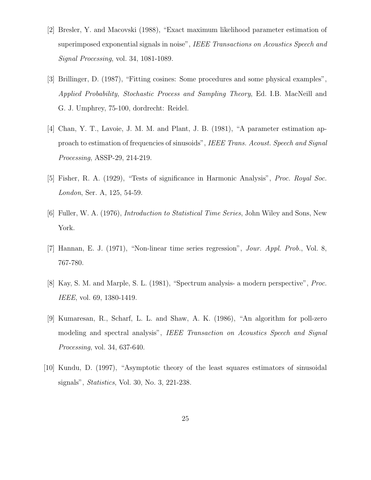- [2] Bresler, Y. and Macovski (1988), "Exact maximum likelihood parameter estimation of superimposed exponential signals in noise", IEEE Transactions on Acoustics Speech and Signal Processing, vol. 34, 1081-1089.
- [3] Brillinger, D. (1987), "Fitting cosines: Some procedures and some physical examples", Applied Probability, Stochastic Process and Sampling Theory, Ed. I.B. MacNeill and G. J. Umphrey, 75-100, dordrecht: Reidel.
- [4] Chan, Y. T., Lavoie, J. M. M. and Plant, J. B. (1981), "A parameter estimation approach to estimation of frequencies of sinusoids", IEEE Trans. Acoust. Speech and Signal Processing, ASSP-29, 214-219.
- [5] Fisher, R. A. (1929), "Tests of significance in Harmonic Analysis", Proc. Royal Soc. London, Ser. A, 125, 54-59.
- [6] Fuller, W. A. (1976), Introduction to Statistical Time Series, John Wiley and Sons, New York.
- [7] Hannan, E. J. (1971), "Non-linear time series regression", Jour. Appl. Prob., Vol. 8, 767-780.
- [8] Kay, S. M. and Marple, S. L. (1981), "Spectrum analysis- a modern perspective", Proc. IEEE, vol. 69, 1380-1419.
- [9] Kumaresan, R., Scharf, L. L. and Shaw, A. K. (1986), "An algorithm for poll-zero modeling and spectral analysis", IEEE Transaction on Acoustics Speech and Signal Processing, vol. 34, 637-640.
- [10] Kundu, D. (1997), "Asymptotic theory of the least squares estimators of sinusoidal signals", Statistics, Vol. 30, No. 3, 221-238.